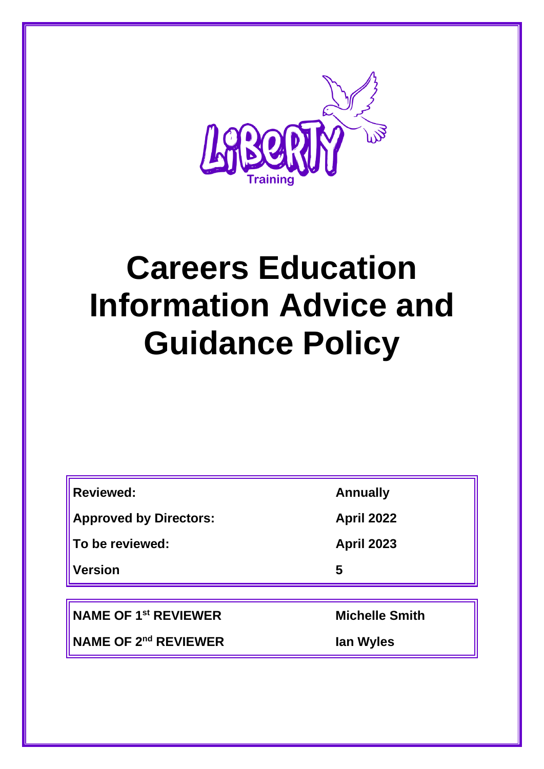

# **Careers Education Information Advice and Guidance Policy**

| <b>Reviewed:</b>              | <b>Annually</b>       |
|-------------------------------|-----------------------|
| <b>Approved by Directors:</b> | <b>April 2022</b>     |
| To be reviewed:               | <b>April 2023</b>     |
| <b>Version</b>                | 5                     |
|                               |                       |
| <b>NAME OF 1st REVIEWER</b>   | <b>Michelle Smith</b> |

**NAME OF 2nd REVIEWER Ian Wyles**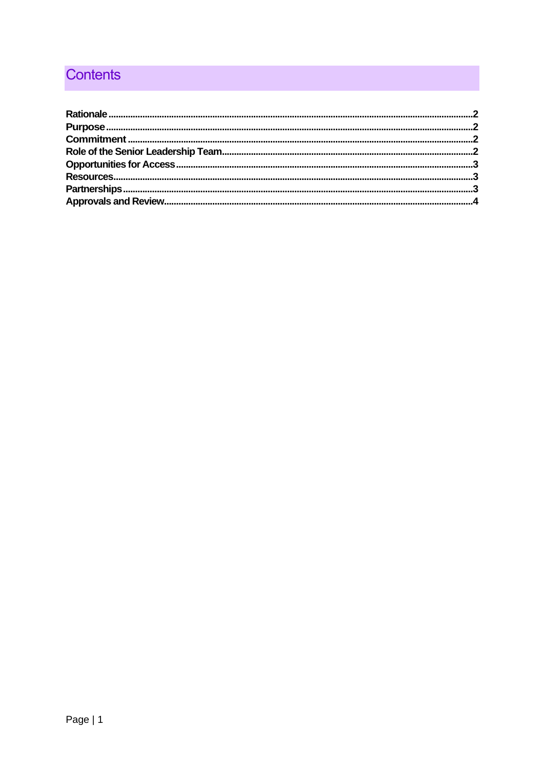## **Contents**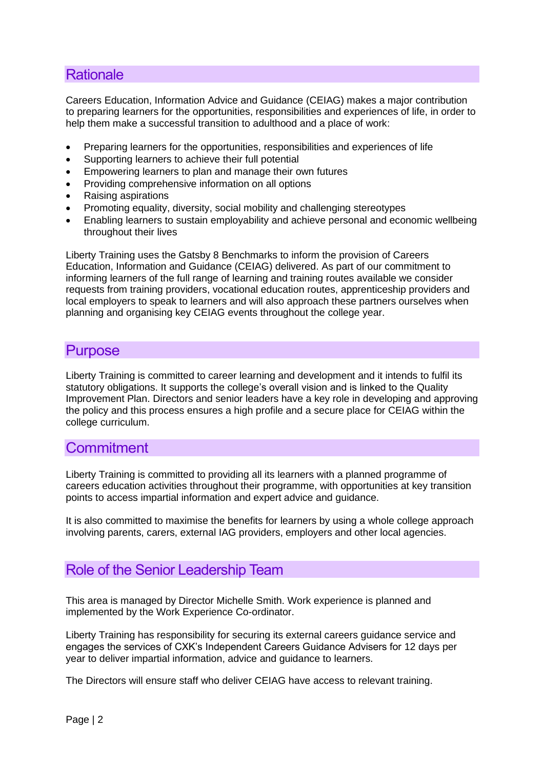#### <span id="page-2-0"></span>**Rationale**

Careers Education, Information Advice and Guidance (CEIAG) makes a major contribution to preparing learners for the opportunities, responsibilities and experiences of life, in order to help them make a successful transition to adulthood and a place of work:

- Preparing learners for the opportunities, responsibilities and experiences of life
- Supporting learners to achieve their full potential
- Empowering learners to plan and manage their own futures
- Providing comprehensive information on all options
- Raising aspirations
- Promoting equality, diversity, social mobility and challenging stereotypes
- Enabling learners to sustain employability and achieve personal and economic wellbeing throughout their lives

Liberty Training uses the Gatsby 8 Benchmarks to inform the provision of Careers Education, Information and Guidance (CEIAG) delivered. As part of our commitment to informing learners of the full range of learning and training routes available we consider requests from training providers, vocational education routes, apprenticeship providers and local employers to speak to learners and will also approach these partners ourselves when planning and organising key CEIAG events throughout the college year.

#### <span id="page-2-1"></span>**Purpose**

Liberty Training is committed to career learning and development and it intends to fulfil its statutory obligations. It supports the college's overall vision and is linked to the Quality Improvement Plan. Directors and senior leaders have a key role in developing and approving the policy and this process ensures a high profile and a secure place for CEIAG within the college curriculum.

#### <span id="page-2-2"></span>**Commitment**

Liberty Training is committed to providing all its learners with a planned programme of careers education activities throughout their programme, with opportunities at key transition points to access impartial information and expert advice and guidance.

It is also committed to maximise the benefits for learners by using a whole college approach involving parents, carers, external IAG providers, employers and other local agencies.

#### <span id="page-2-3"></span>Role of the Senior Leadership Team

This area is managed by Director Michelle Smith. Work experience is planned and implemented by the Work Experience Co-ordinator.

Liberty Training has responsibility for securing its external careers guidance service and engages the services of CXK's Independent Careers Guidance Advisers for 12 days per year to deliver impartial information, advice and guidance to learners.

The Directors will ensure staff who deliver CEIAG have access to relevant training.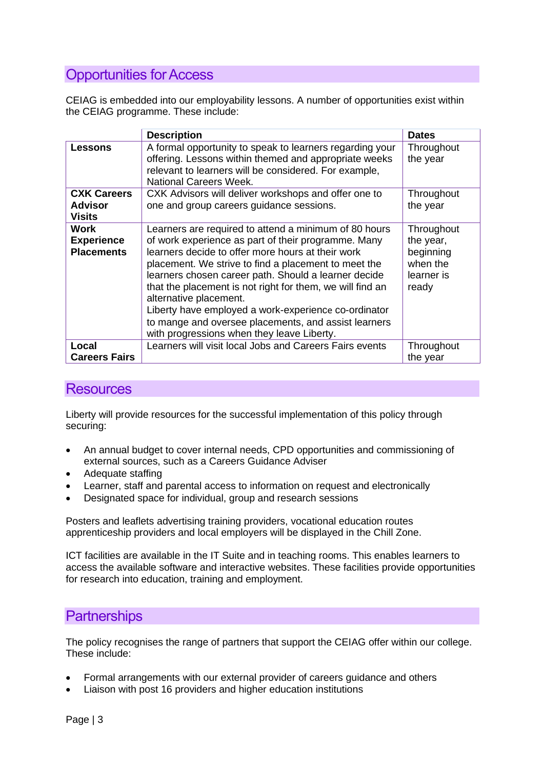#### <span id="page-3-0"></span>Opportunities for Access

CEIAG is embedded into our employability lessons. A number of opportunities exist within the CEIAG programme. These include:

|                                                       | <b>Description</b>                                                                                                                                                                                                                                                                                                                                                                                                                                                                                                                     |                                                                         |
|-------------------------------------------------------|----------------------------------------------------------------------------------------------------------------------------------------------------------------------------------------------------------------------------------------------------------------------------------------------------------------------------------------------------------------------------------------------------------------------------------------------------------------------------------------------------------------------------------------|-------------------------------------------------------------------------|
| <b>Lessons</b>                                        | A formal opportunity to speak to learners regarding your<br>offering. Lessons within themed and appropriate weeks                                                                                                                                                                                                                                                                                                                                                                                                                      | Throughout<br>the year                                                  |
|                                                       | relevant to learners will be considered. For example,<br>National Careers Week.                                                                                                                                                                                                                                                                                                                                                                                                                                                        |                                                                         |
| <b>CXK Careers</b><br><b>Advisor</b><br><b>Visits</b> | CXK Advisors will deliver workshops and offer one to<br>one and group careers guidance sessions.                                                                                                                                                                                                                                                                                                                                                                                                                                       | Throughout<br>the year                                                  |
| Work<br><b>Experience</b><br><b>Placements</b>        | Learners are required to attend a minimum of 80 hours<br>of work experience as part of their programme. Many<br>learners decide to offer more hours at their work<br>placement. We strive to find a placement to meet the<br>learners chosen career path. Should a learner decide<br>that the placement is not right for them, we will find an<br>alternative placement.<br>Liberty have employed a work-experience co-ordinator<br>to mange and oversee placements, and assist learners<br>with progressions when they leave Liberty. | Throughout<br>the year,<br>beginning<br>when the<br>learner is<br>ready |
| Local                                                 | Learners will visit local Jobs and Careers Fairs events                                                                                                                                                                                                                                                                                                                                                                                                                                                                                | Throughout                                                              |
| <b>Careers Fairs</b>                                  |                                                                                                                                                                                                                                                                                                                                                                                                                                                                                                                                        | the year                                                                |

#### <span id="page-3-1"></span>**Resources**

Liberty will provide resources for the successful implementation of this policy through securing:

- An annual budget to cover internal needs, CPD opportunities and commissioning of external sources, such as a Careers Guidance Adviser
- Adequate staffing
- Learner, staff and parental access to information on request and electronically
- Designated space for individual, group and research sessions

Posters and leaflets advertising training providers, vocational education routes apprenticeship providers and local employers will be displayed in the Chill Zone.

ICT facilities are available in the IT Suite and in teaching rooms. This enables learners to access the available software and interactive websites. These facilities provide opportunities for research into education, training and employment.

#### <span id="page-3-2"></span>**Partnerships**

The policy recognises the range of partners that support the CEIAG offer within our college. These include:

- Formal arrangements with our external provider of careers guidance and others
- Liaison with post 16 providers and higher education institutions